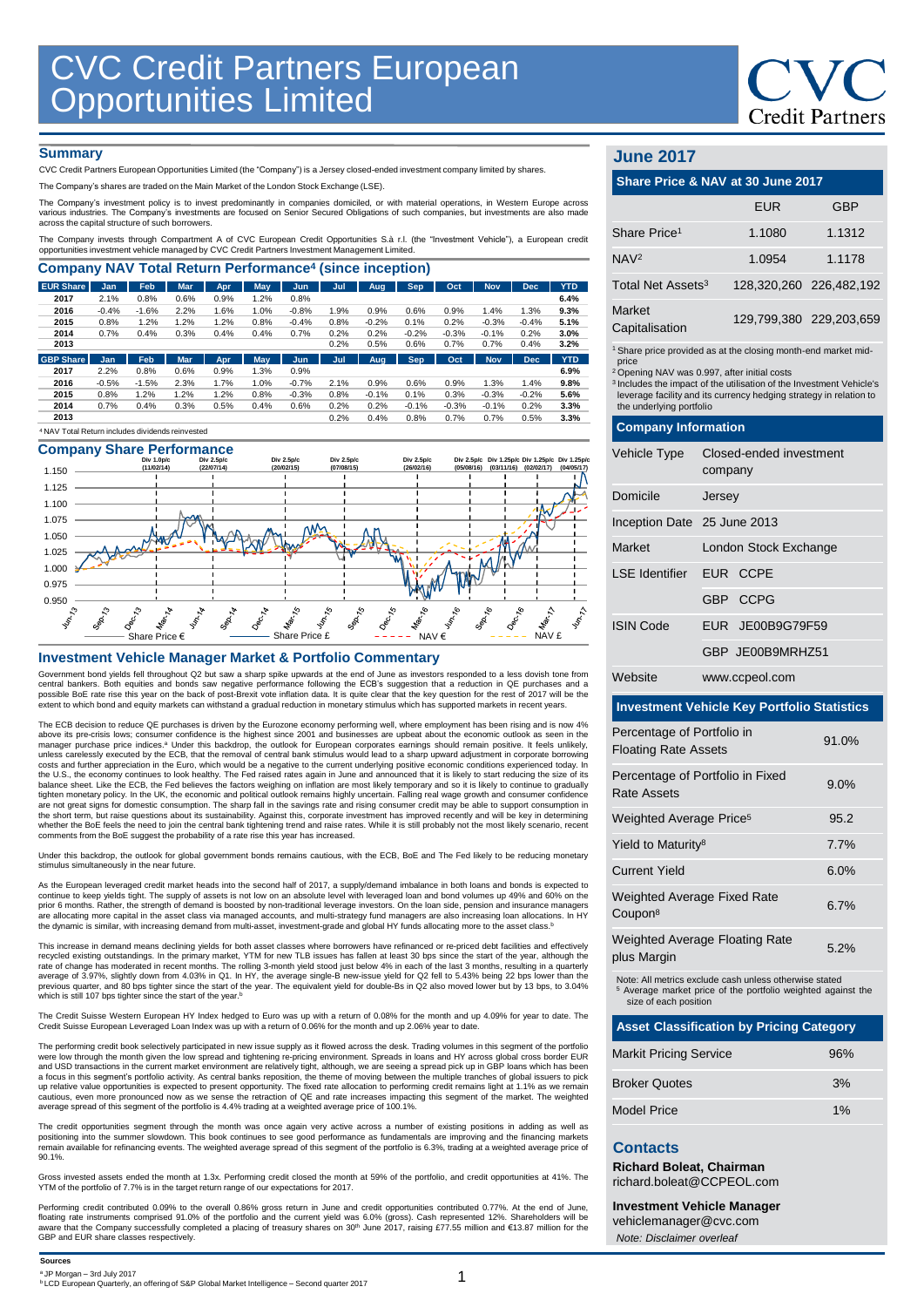# **Credit Partners**

#### **Summary**

CVC Credit Partners European Opportunities Limited (the "Company") is a Jersey closed-ended investment company limited by shares.

The Company's shares are traded on the Main Market of the London Stock Exchange (LSE).

The Company's investment policy is to invest predominantly in companies domiciled, or with material operations, in Westem Europe across<br>various industries. The Company's investments are focused on Senior Secured Obligation

The Company invests through Compartment A of CVC European Credit Opportunities S.à r.l. (the "Investment Vehicle"), a European credit<br>opportunities investment vehicle managed by CVC Credit Partners Investment Management Li

| <b>Company NAV Total Return Performance<sup>4</sup> (since inception)</b> |            |         |            |      |            |         |      |         |            |         |            |            |            |
|---------------------------------------------------------------------------|------------|---------|------------|------|------------|---------|------|---------|------------|---------|------------|------------|------------|
| <b>EUR Share</b>                                                          | Jan        | Feb.    | <b>Mar</b> | Apr. | May        | Jun     | Jul  | Aug     | <b>Sep</b> | Oct     | <b>Nov</b> | <b>Dec</b> | <b>YTD</b> |
| 2017                                                                      | 2.1%       | 0.8%    | 0.6%       | 0.9% | 1.2%       | 0.8%    |      |         |            |         |            |            | 6.4%       |
| 2016                                                                      | $-0.4%$    | $-1.6%$ | 2.2%       | 1.6% | 1.0%       | $-0.8%$ | 1.9% | 0.9%    | 0.6%       | 0.9%    | 1.4%       | 1.3%       | 9.3%       |
| 2015                                                                      | 0.8%       | 1.2%    | 1.2%       | 1.2% | 0.8%       | $-0.4%$ | 0.8% | $-0.2%$ | 0.1%       | 0.2%    | $-0.3%$    | $-0.4%$    | 5.1%       |
| 2014                                                                      | 0.7%       | 0.4%    | 0.3%       | 0.4% | 0.4%       | 0.7%    | 0.2% | 0.2%    | $-0.2%$    | $-0.3%$ | $-0.1%$    | 0.2%       | 3.0%       |
| 2013                                                                      |            |         |            |      |            |         | 0.2% | 0.5%    | 0.6%       | 0.7%    | 0.7%       | 0.4%       | 3.2%       |
| <b>GBP Share</b>                                                          | <b>Jan</b> | Feb     | <b>Mar</b> | Apr  | <b>May</b> | Jun     | Jul  | Aug     | <b>Sep</b> | Oct     | <b>Nov</b> | <b>Dec</b> | <b>YTD</b> |
| 2017                                                                      | 2.2%       | 0.8%    | 0.6%       | 0.9% | 1.3%       | 0.9%    |      |         |            |         |            |            | 6.9%       |
| 2016                                                                      | $-0.5%$    | $-1.5%$ | 2.3%       | 1.7% | 1.0%       | $-0.7%$ | 2.1% | 0.9%    | 0.6%       | 0.9%    | 1.3%       | 1.4%       | 9.8%       |
| 2015                                                                      | 0.8%       | 1.2%    | 1.2%       | 1.2% | 0.8%       | $-0.3%$ | 0.8% | $-0.1%$ | 0.1%       | 0.3%    | $-0.3%$    | $-0.2%$    | 5.6%       |
| 2014                                                                      | 0.7%       | 0.4%    | 0.3%       | 0.5% | 0.4%       | 0.6%    | 0.2% | 0.2%    | $-0.1%$    | $-0.3%$ | $-0.1%$    | 0.2%       | 3.3%       |
| 2013                                                                      |            |         |            |      |            |         | 0.2% | 0.4%    | 0.8%       | 0.7%    | 0.7%       | 0.5%       | 3.3%       |
| <sup>4</sup> NAV Total Return includes dividends reinvested               |            |         |            |      |            |         |      |         |            |         |            |            |            |

## **Company Share Performance**



#### **Investment Vehicle Manager Market & Portfolio Commentary**

Government bond yields fell throughout Q2 but saw a sharp spike upwards at the end of June as investors responded to a less dovish tone from<br>central bankers. Both equities and bonds saw negative performance following the extent to which bond and equity markets can withstand a gradual reduction in monetary stimulus which has supported markets in recent years.

The ECB decision to reduce QE purchases is driven by the Eurozone economy performing well, where employment has been rising and is now 4% above its pre-crisis lows; consumer confidence is the highest since 2001 and businesses are upbeat about the economic outlook as seen in the<br>manager purchase price indices.ª Under this backdrop, the outlook for European c costs and further appreciation in the Euro, which would be a negative to the current underlying positive economic conditions experienced today. In<br>the U.S., the economy continues to look healthy. The Fed raised rates again tighten monetary policy. In the UK, the economic and political outlook remains highly uncertain. Falling real wage growth and consumer confidence<br>are not great signs for domestic consumption. The sharp fall in the savings whether the BoE feels the need to join the central bank tightening trend and raise rates. While it is still probably not the most likely scenario, recent<br>comments from the BoE suggest the probability of a rate rise this ye

Under this backdrop, the outlook for global government bonds remains cautious, with the ECB, BoE and The Fed likely to be reducing monetary stimulus simultaneously in the near future.

As the European leveraged credit market heads into the second half of 2017, a supply/demand imbalance in both loans and bonds is expected to<br>prior 6 months. Rather, the strength of assets is not low on an absolute level wi the dynamic is similar, with increasing demand from multi-asset, investment-grade and global HY funds allocating more to the asset class.<sup>b</sup>

This increase in demand means declining yields for both asset classes where borrowers have refinanced or re-priced debt facilities and effectiv recycled existing outstandings. In the primary market, YTM for new TLB issues has fallen at least 30 bps since the start of the year, although the rate of change has moderated in recent months. The rolling 3-month yield fo rate of change has moderated in recent months. The rolling 3-month yield stood just below 4% in each of the last 3 months, resulting in a quarterly<br>average of 3.97%, slightly down from 4.03% in Q1. In HY, the average singl previous quarter, and 80 bps tighter since the start of the year. The equivalent yield for double-Bs in Q2 also moved lower but by 13 bps, to 3.04% which is still 107 bps tighter since the start of the year.<sup>b</sup>

The Credit Suisse Western European HY Index hedged to Euro was up with a return of 0.08% for the month and up 4.09% for year to date. The Credit Suisse European Leveraged Loan Index was up with a return of 0.06% for the month and up 2.06% year to date.

The performing credit book selectively participated in new issue supply as it flowed across the desk. Trading volumes in this segment of the portfolic were low through the month given the low spread and tightening re-pricing environment. Spreads in loans and HY across global cross border EUR<br>and USD transactions in the current market environment are relatively tight, alt a focus in this segment's portfolio activity. As central banks reposition, the theme of moving between the multiple tranches of global issuers to pick<br>up relative value opportunities is expected to present opportunity. The cautious, even more pronounced now as we sense the retraction of QE and rate increases impacting this segment of the market. The weighted average spread of this segment of the portfolio is 4.4% trading at a weighted average price of 100.1%.

The credit opportunities segment through the month was once again very active across a number of existing positions in adding as well as<br>positioning into the summer slowdown. This book continues to see good performance as 90.1%.

Gross invested assets ended the month at 1.3x. Performing credit closed the month at 59% of the portfolio, and credit opportunities at 41%. The YTM of the portfolio of 7.7% is in the target return range of our expectations for 2017.

Performing credit contributed 0.09% to the overall 0.86% gross return in June and credit opportunities contributed 0.77%. At the end of June, floating rate instruments comprised 91.0% of the portfolio and the current yield was 6.0% (gross). Cash represented 12%. Shareholders will be<br>aware that the Company successfully completed a placing of treasury shares on 3 GBP and EUR share classes respectively.

| <b>June 2017</b>                  |                                                                                                                                                                                                                                                                                                                           |            |                         |  |  |  |
|-----------------------------------|---------------------------------------------------------------------------------------------------------------------------------------------------------------------------------------------------------------------------------------------------------------------------------------------------------------------------|------------|-------------------------|--|--|--|
| Share Price & NAV at 30 June 2017 |                                                                                                                                                                                                                                                                                                                           |            |                         |  |  |  |
|                                   |                                                                                                                                                                                                                                                                                                                           | <b>EUR</b> | GBP                     |  |  |  |
| Share Price <sup>1</sup>          |                                                                                                                                                                                                                                                                                                                           | 1.1080     | 1.1312                  |  |  |  |
| NAV <sup>2</sup>                  |                                                                                                                                                                                                                                                                                                                           | 1.0954     | 1.1178                  |  |  |  |
| Total Net Assets <sup>3</sup>     |                                                                                                                                                                                                                                                                                                                           |            | 128,320,260 226,482,192 |  |  |  |
| Market<br>Capitalisation          |                                                                                                                                                                                                                                                                                                                           |            | 129,799,380 229,203,659 |  |  |  |
| price                             | <sup>1</sup> Share price provided as at the closing month-end market mid-<br><sup>2</sup> Opening NAV was 0.997, after initial costs<br><sup>3</sup> Includes the impact of the utilisation of the Investment Vehicle's<br>leverage facility and its currency hedging strategy in relation to<br>the underlying portfolio |            |                         |  |  |  |
| <b>Company Information</b>        |                                                                                                                                                                                                                                                                                                                           |            |                         |  |  |  |
| <b>Vehicle Type</b>               | Closed-ended investment<br>company                                                                                                                                                                                                                                                                                        |            |                         |  |  |  |
| Domicile                          | Jersey                                                                                                                                                                                                                                                                                                                    |            |                         |  |  |  |
| Inception Date 25 June 2013       |                                                                                                                                                                                                                                                                                                                           |            |                         |  |  |  |
| Market                            | London Stock Exchange                                                                                                                                                                                                                                                                                                     |            |                         |  |  |  |
| I SF Identifier                   |                                                                                                                                                                                                                                                                                                                           | EUR CCPE   |                         |  |  |  |
|                                   |                                                                                                                                                                                                                                                                                                                           | GBP CCPG   |                         |  |  |  |

| <b>ISIN Code</b> | EUR JE00B9G79F59 |
|------------------|------------------|

|  | GBP JE00B9MRHZ51 |  |
|--|------------------|--|
|  |                  |  |

Website www.ccpeol.com

#### **Investment Vehicle Key Portfolio Statistics**

| Percentage of Portfolio in<br><b>Floating Rate Assets</b> | 91.0% |
|-----------------------------------------------------------|-------|
| Percentage of Portfolio in Fixed<br>Rate Assets           | 9.0%  |
| Weighted Average Price <sup>5</sup>                       | 95.2  |
| Yield to Maturity <sup>8</sup>                            | 7.7%  |
| <b>Current Yield</b>                                      | 6.0%  |
| <b>Weighted Average Fixed Rate</b><br>Coupon <sup>8</sup> | 6.7%  |
| <b>Weighted Average Floating Rate</b><br>plus Margin      | 5.2%  |

Note: All metrics exclude cash unless otherwise stated Average market price of the portfolio weighted against the size of each position

| <b>Asset Classification by Pricing Category</b> |     |
|-------------------------------------------------|-----|
| <b>Markit Pricing Service</b>                   | 96% |
| <b>Broker Quotes</b>                            | 3%  |
| Model Price                                     | 1%  |

#### **Contacts**

**Richard Boleat, Chairman**  richard.boleat@CCPEOL.com

**Investment Vehicle Manager**

vehiclemanager@cvc.com *Note: Disclaimer overleaf*